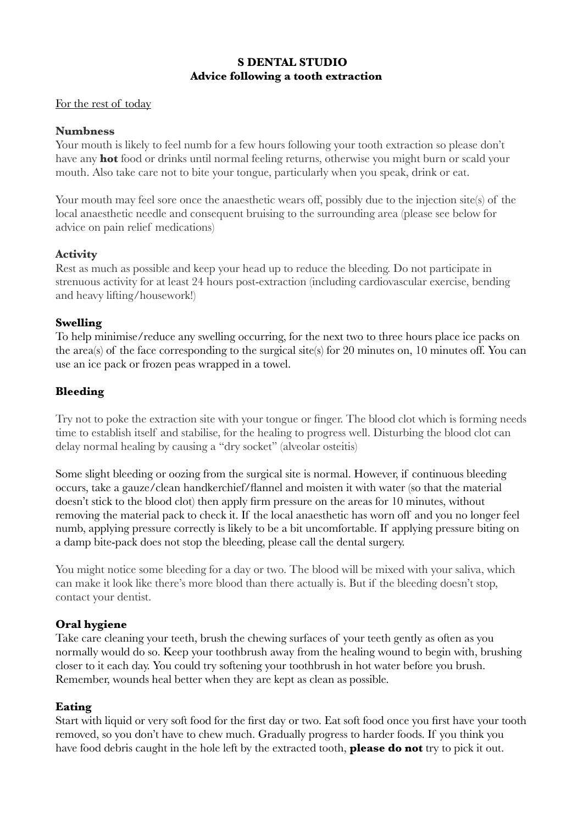# **S DENTAL STUDIO Advice following a tooth extraction**

#### For the rest of today

#### **Numbness**

Your mouth is likely to feel numb for a few hours following your tooth extraction so please don't have any **hot** food or drinks until normal feeling returns, otherwise you might burn or scald your mouth. Also take care not to bite your tongue, particularly when you speak, drink or eat.

Your mouth may feel sore once the anaesthetic wears off, possibly due to the injection site(s) of the local anaesthetic needle and consequent bruising to the surrounding area (please see below for advice on pain relief medications)

# **Activity**

Rest as much as possible and keep your head up to reduce the bleeding. Do not participate in strenuous activity for at least 24 hours post-extraction (including cardiovascular exercise, bending and heavy lifting/housework!)

## **Swelling**

To help minimise/reduce any swelling occurring, for the next two to three hours place ice packs on the area(s) of the face corresponding to the surgical site(s) for 20 minutes on, 10 minutes off. You can use an ice pack or frozen peas wrapped in a towel.

# **Bleeding**

Try not to poke the extraction site with your tongue or finger. The blood clot which is forming needs time to establish itself and stabilise, for the healing to progress well. Disturbing the blood clot can delay normal healing by causing a "dry socket" (alveolar osteitis)

Some slight bleeding or oozing from the surgical site is normal. However, if continuous bleeding occurs, take a gauze/clean handkerchief/flannel and moisten it with water (so that the material doesn't stick to the blood clot) then apply firm pressure on the areas for 10 minutes, without removing the material pack to check it. If the local anaesthetic has worn off and you no longer feel numb, applying pressure correctly is likely to be a bit uncomfortable. If applying pressure biting on a damp bite-pack does not stop the bleeding, please call the dental surgery.

You might notice some bleeding for a day or two. The blood will be mixed with your saliva, which can make it look like there's more blood than there actually is. But if the bleeding doesn't stop, contact your dentist.

## **Oral hygiene**

Take care cleaning your teeth, brush the chewing surfaces of your teeth gently as often as you normally would do so. Keep your toothbrush away from the healing wound to begin with, brushing closer to it each day. You could try softening your toothbrush in hot water before you brush. Remember, wounds heal better when they are kept as clean as possible.

## **Eating**

Start with liquid or very soft food for the first day or two. Eat soft food once you first have your tooth removed, so you don't have to chew much. Gradually progress to harder foods. If you think you have food debris caught in the hole left by the extracted tooth, **please do not** try to pick it out.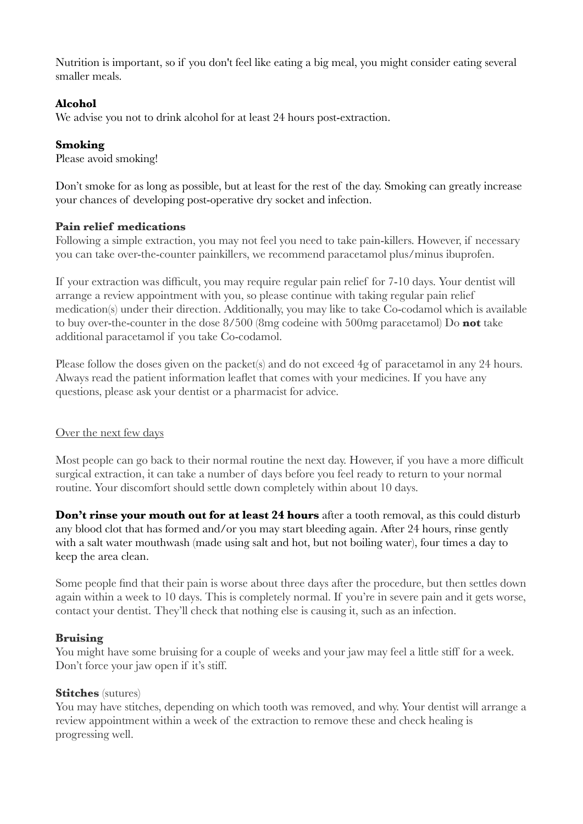Nutrition is important, so if you don't feel like eating a big meal, you might consider eating several smaller meals.

# **Alcohol**

We advise you not to drink alcohol for at least 24 hours post-extraction.

# **Smoking**

Please avoid smoking!

Don't smoke for as long as possible, but at least for the rest of the day. Smoking can greatly increase your chances of developing post-operative dry socket and infection.

## **Pain relief medications**

Following a simple extraction, you may not feel you need to take pain-killers. However, if necessary you can take over-the-counter painkillers, we recommend paracetamol plus/minus ibuprofen.

If your extraction was difficult, you may require regular pain relief for 7-10 days. Your dentist will arrange a review appointment with you, so please continue with taking regular pain relief medication(s) under their direction. Additionally, you may like to take Co-codamol which is available to buy over-the-counter in the dose 8/500 (8mg codeine with 500mg paracetamol) Do **not** take additional paracetamol if you take Co-codamol.

Please follow the doses given on the packet(s) and do not exceed 4g of paracetamol in any 24 hours. Always read the patient information leaflet that comes with your medicines. If you have any questions, please ask your dentist or a pharmacist for advice.

## Over the next few days

Most people can go back to their normal routine the next day. However, if you have a more difficult surgical extraction, it can take a number of days before you feel ready to return to your normal routine. Your discomfort should settle down completely within about 10 days.

Don't rinse your mouth out for at least 24 hours after a tooth removal, as this could disturb any blood clot that has formed and/or you may start bleeding again. After 24 hours, rinse gently with a salt water mouthwash (made using salt and hot, but not boiling water), four times a day to keep the area clean.

Some people find that their pain is worse about three days after the procedure, but then settles down again within a week to 10 days. This is completely normal. If you're in severe pain and it gets worse, contact your dentist. They'll check that nothing else is causing it, such as an infection.

## **Bruising**

You might have some bruising for a couple of weeks and your jaw may feel a little stiff for a week. Don't force your jaw open if it's stiff.

## **Stitches** (sutures)

You may have stitches, depending on which tooth was removed, and why. Your dentist will arrange a review appointment within a week of the extraction to remove these and check healing is progressing well.